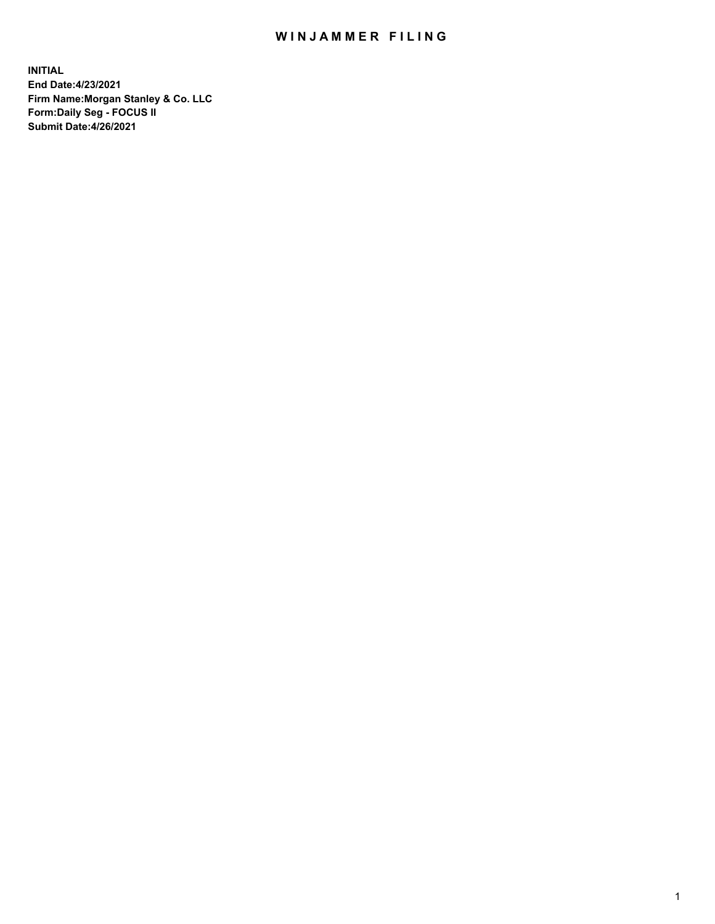## WIN JAMMER FILING

**INITIAL End Date:4/23/2021 Firm Name:Morgan Stanley & Co. LLC Form:Daily Seg - FOCUS II Submit Date:4/26/2021**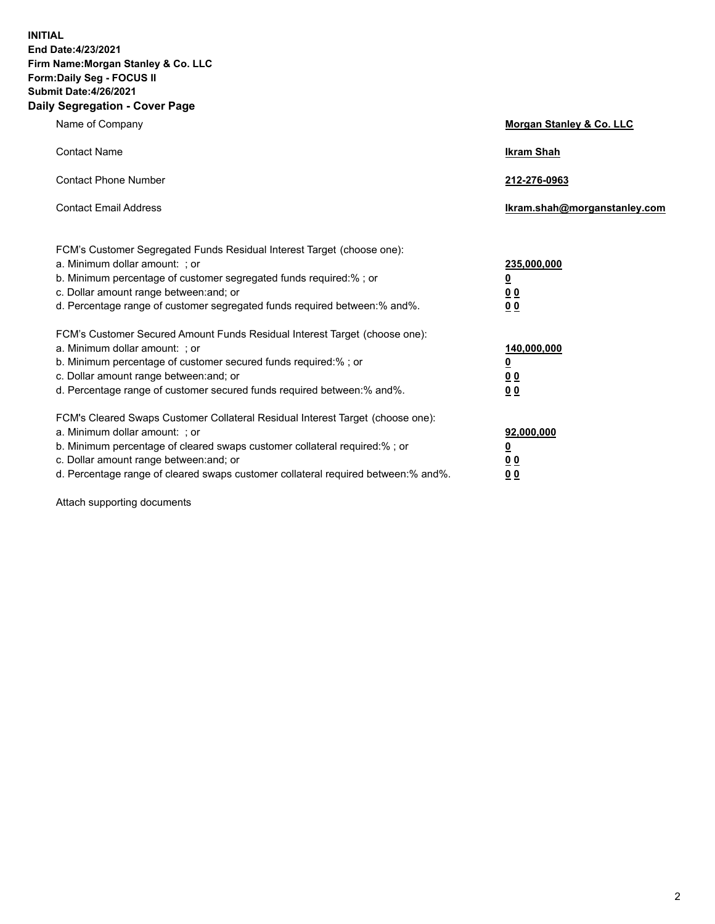**INITIAL End Date:4/23/2021 Firm Name:Morgan Stanley & Co. LLC Form:Daily Seg - FOCUS II Submit Date:4/26/2021 Daily Segregation - Cover Page**

| Name of Company                                                                                                                                                                                                                                                                                                                | <b>Morgan Stanley &amp; Co. LLC</b>                         |
|--------------------------------------------------------------------------------------------------------------------------------------------------------------------------------------------------------------------------------------------------------------------------------------------------------------------------------|-------------------------------------------------------------|
| <b>Contact Name</b>                                                                                                                                                                                                                                                                                                            | <b>Ikram Shah</b>                                           |
| <b>Contact Phone Number</b>                                                                                                                                                                                                                                                                                                    | 212-276-0963                                                |
| <b>Contact Email Address</b>                                                                                                                                                                                                                                                                                                   | Ikram.shah@morganstanley.com                                |
| FCM's Customer Segregated Funds Residual Interest Target (choose one):<br>a. Minimum dollar amount: ; or<br>b. Minimum percentage of customer segregated funds required:%; or<br>c. Dollar amount range between: and; or<br>d. Percentage range of customer segregated funds required between:% and%.                          | 235,000,000<br><u>0</u><br>0 <sub>0</sub><br>0 <sub>0</sub> |
| FCM's Customer Secured Amount Funds Residual Interest Target (choose one):<br>a. Minimum dollar amount: ; or<br>b. Minimum percentage of customer secured funds required:% ; or<br>c. Dollar amount range between: and; or<br>d. Percentage range of customer secured funds required between:% and%.                           | 140,000,000<br><u>0</u><br>0 <sub>0</sub><br>0 <sub>0</sub> |
| FCM's Cleared Swaps Customer Collateral Residual Interest Target (choose one):<br>a. Minimum dollar amount: ; or<br>b. Minimum percentage of cleared swaps customer collateral required:% ; or<br>c. Dollar amount range between: and; or<br>d. Percentage range of cleared swaps customer collateral required between:% and%. | 92,000,000<br><u>0</u><br><u>00</u><br>0 <sub>0</sub>       |

Attach supporting documents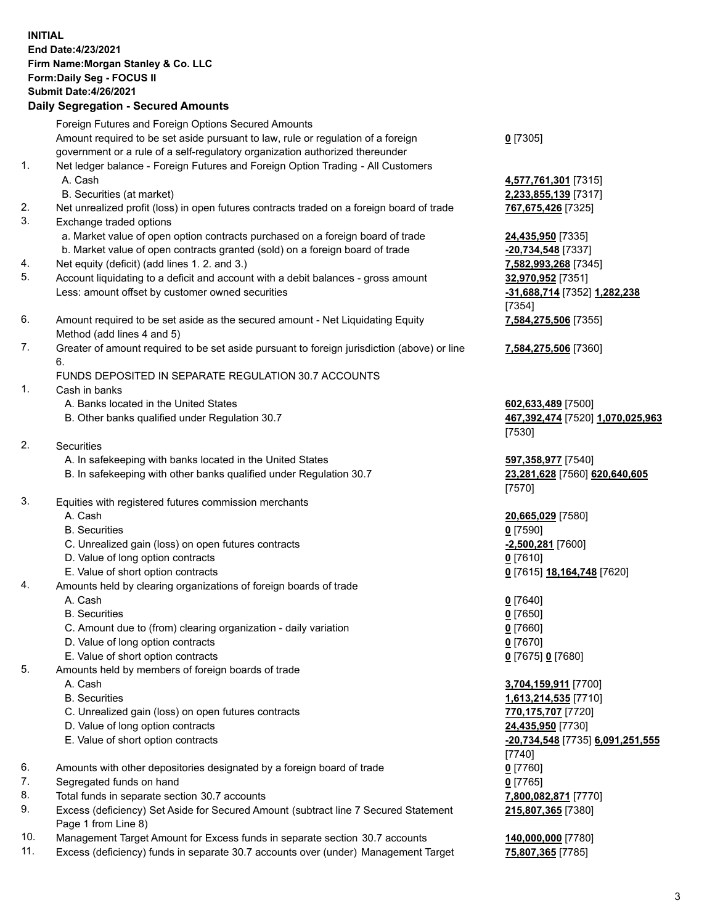## **INITIAL End Date:4/23/2021 Firm Name:Morgan Stanley & Co. LLC Form:Daily Seg - FOCUS II Submit Date:4/26/2021 Daily Segregation - Secured Amounts**

Foreign Futures and Foreign Options Secured Amounts

Amount required to be set aside pursuant to law, rule or regulation of a foreign government or a rule of a self-regulatory organization authorized thereunder

- 1. Net ledger balance Foreign Futures and Foreign Option Trading All Customers A. Cash **4,577,761,301** [7315]
	- B. Securities (at market) **2,233,855,139** [7317]
- 2. Net unrealized profit (loss) in open futures contracts traded on a foreign board of trade **767,675,426** [7325]
- 3. Exchange traded options
	- a. Market value of open option contracts purchased on a foreign board of trade **24,435,950** [7335]
	- b. Market value of open contracts granted (sold) on a foreign board of trade **-20,734,548** [7337]
- 4. Net equity (deficit) (add lines 1. 2. and 3.) **7,582,993,268** [7345]
- 5. Account liquidating to a deficit and account with a debit balances gross amount **32,970,952** [7351] Less: amount offset by customer owned securities **-31,688,714** [7352] **1,282,238**
- 6. Amount required to be set aside as the secured amount Net Liquidating Equity Method (add lines 4 and 5)
- 7. Greater of amount required to be set aside pursuant to foreign jurisdiction (above) or line 6.

## FUNDS DEPOSITED IN SEPARATE REGULATION 30.7 ACCOUNTS

- 1. Cash in banks
	- A. Banks located in the United States **602,633,489** [7500]
	- B. Other banks qualified under Regulation 30.7 **467,392,474** [7520] **1,070,025,963**
- 2. Securities
	- A. In safekeeping with banks located in the United States **597,358,977** [7540]
	- B. In safekeeping with other banks qualified under Regulation 30.7 **23,281,628** [7560] **620,640,605**
- 3. Equities with registered futures commission merchants
	-
	- B. Securities **0** [7590]
	- C. Unrealized gain (loss) on open futures contracts **-2,500,281** [7600]
	- D. Value of long option contracts **0** [7610]
	- E. Value of short option contracts **0** [7615] **18,164,748** [7620]
- 4. Amounts held by clearing organizations of foreign boards of trade
	- A. Cash **0** [7640]
	- B. Securities **0** [7650]
	- C. Amount due to (from) clearing organization daily variation **0** [7660]
	- D. Value of long option contracts **0** [7670]
	- E. Value of short option contracts **0** [7675] **0** [7680]
- 5. Amounts held by members of foreign boards of trade
	-
	-
	- C. Unrealized gain (loss) on open futures contracts **770,175,707** [7720]
	- D. Value of long option contracts **24,435,950** [7730]
	- E. Value of short option contracts **-20,734,548** [7735] **6,091,251,555**
- 6. Amounts with other depositories designated by a foreign board of trade **0** [7760]
- 7. Segregated funds on hand **0** [7765]
- 8. Total funds in separate section 30.7 accounts **7,800,082,871** [7770]
- 9. Excess (deficiency) Set Aside for Secured Amount (subtract line 7 Secured Statement Page 1 from Line 8)
- 10. Management Target Amount for Excess funds in separate section 30.7 accounts **140,000,000** [7780]
- 11. Excess (deficiency) funds in separate 30.7 accounts over (under) Management Target **75,807,365** [7785]

**0** [7305]

[7354] **7,584,275,506** [7355]

**7,584,275,506** [7360]

[7530]

[7570]

A. Cash **20,665,029** [7580]

 A. Cash **3,704,159,911** [7700] B. Securities **1,613,214,535** [7710] [7740] **215,807,365** [7380]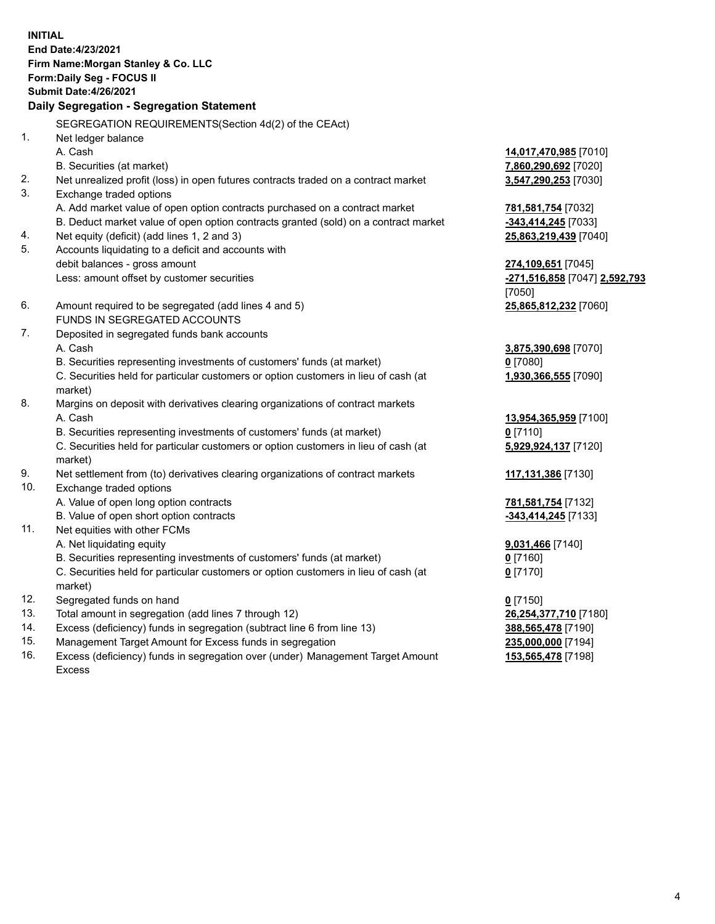**INITIAL End Date:4/23/2021 Firm Name:Morgan Stanley & Co. LLC Form:Daily Seg - FOCUS II Submit Date:4/26/2021 Daily Segregation - Segregation Statement** SEGREGATION REQUIREMENTS(Section 4d(2) of the CEAct) 1. Net ledger balance A. Cash **14,017,470,985** [7010] B. Securities (at market) **7,860,290,692** [7020] 2. Net unrealized profit (loss) in open futures contracts traded on a contract market **3,547,290,253** [7030] 3. Exchange traded options A. Add market value of open option contracts purchased on a contract market **781,581,754** [7032] B. Deduct market value of open option contracts granted (sold) on a contract market **-343,414,245** [7033] 4. Net equity (deficit) (add lines 1, 2 and 3) **25,863,219,439** [7040] 5. Accounts liquidating to a deficit and accounts with debit balances - gross amount **274,109,651** [7045] Less: amount offset by customer securities **-271,516,858** [7047] **2,592,793** [7050] 6. Amount required to be segregated (add lines 4 and 5) **25,865,812,232** [7060] FUNDS IN SEGREGATED ACCOUNTS 7. Deposited in segregated funds bank accounts A. Cash **3,875,390,698** [7070] B. Securities representing investments of customers' funds (at market) **0** [7080] C. Securities held for particular customers or option customers in lieu of cash (at market) **1,930,366,555** [7090] 8. Margins on deposit with derivatives clearing organizations of contract markets A. Cash **13,954,365,959** [7100] B. Securities representing investments of customers' funds (at market) **0** [7110] C. Securities held for particular customers or option customers in lieu of cash (at market) **5,929,924,137** [7120] 9. Net settlement from (to) derivatives clearing organizations of contract markets **117,131,386** [7130] 10. Exchange traded options A. Value of open long option contracts **781,581,754** [7132] B. Value of open short option contracts **and the set of open short option contracts -343,414,245** [7133] 11. Net equities with other FCMs A. Net liquidating equity **9,031,466** [7140] B. Securities representing investments of customers' funds (at market) **0** [7160] C. Securities held for particular customers or option customers in lieu of cash (at market) **0** [7170] 12. Segregated funds on hand **0** [7150] 13. Total amount in segregation (add lines 7 through 12) **26,254,377,710** [7180] 14. Excess (deficiency) funds in segregation (subtract line 6 from line 13) **388,565,478** [7190] 15. Management Target Amount for Excess funds in segregation **235,000,000** [7194]

16. Excess (deficiency) funds in segregation over (under) Management Target Amount Excess

**153,565,478** [7198]